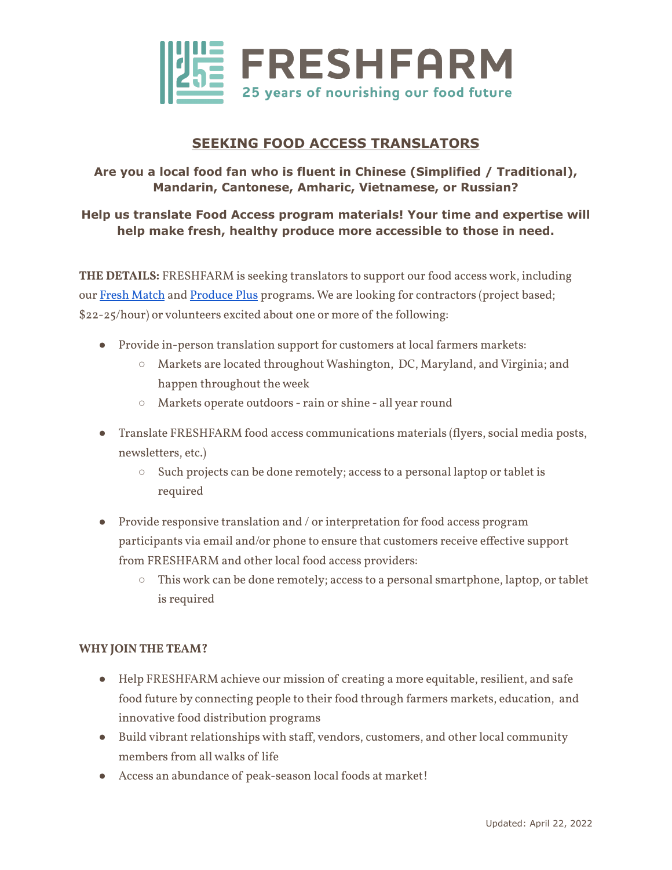

# **SEEKING FOOD ACCESS TRANSLATORS**

### **Are you a local food fan who is fluent in Chinese (Simplified / Traditional), Mandarin, Cantonese, Amharic, Vietnamese, or Russian?**

### **Help us translate Food Access program materials! Your time and expertise will help make fresh, healthy produce more accessible to those in need.**

**THE DETAILS:** FRESHFARM is seeking translators to support our food access work, including our Fresh [Match](https://www.freshfarm.org/fresh-match) and [Produce](https://www.freshfarm.org/produceplus) Plus programs. We are looking for contractors (project based; \$22-25/hour) or volunteers excited about one or more of the following:

- Provide in-person translation support for customers at local farmers markets:
	- Markets are located throughout Washington, DC, Maryland, and Virginia; and happen throughout the week
	- Markets operate outdoors rain or shine all year round
- Translate FRESHFARM food access communications materials (flyers, social media posts, newsletters, etc.)
	- Such projects can be done remotely; access to a personal laptop or tablet is required
- Provide responsive translation and / or interpretation for food access program participants via email and/or phone to ensure that customers receive effective support from FRESHFARM and other local food access providers:
	- This work can be done remotely; access to a personal smartphone, laptop, or tablet is required

#### **WHY JOIN THE TEAM?**

- Help FRESHFARM achieve our mission of creating a more equitable, resilient, and safe food future by connecting people to their food through farmers markets, education, and innovative food distribution programs
- Build vibrant relationships with staff, vendors, customers, and other local community members from all walks of life
- Access an abundance of peak-season local foods at market!